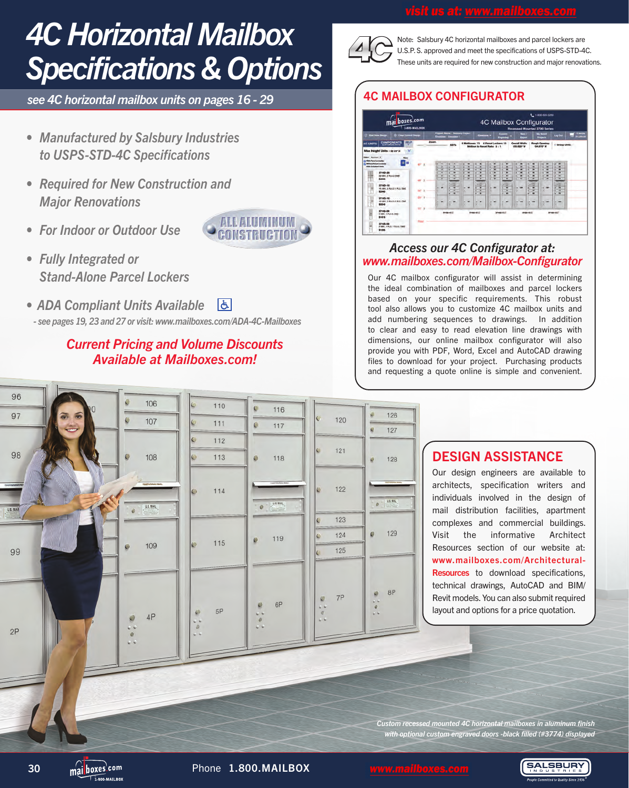# *4C Horizontal Mailbox Specifications & Options*

*see 4C horizontal mailbox units on pages 16 - 29*

- *• Manufactured by Salsbury Industries to USPS-STD-4C Specifications*
- *• Required for New Construction and Major Renovations*
- *• For Indoor or Outdoor Use*
- *• Fully Integrated or Stand-Alone Parcel Lockers*
- *ADA Compliant Units Available*  |よ|  *- see pages 19, 23 and 27 or visit: www.mailboxes.com/ADA-4C-Mailboxes*

## *Current Pricing and Volume Discounts Available at Mailboxes.com!*



Note: Salsbury 4C horizontal mailboxes and parcel lockers are U.S.P.S. approved and meet the specifications of USPS-STD-4C. These units are required for new construction and major renovations.

## 4C MAILBOX CONFIGURATOR



### *Access our 4C Configurator at: www.mailboxes.com/Mailbox-Configurator*

Our 4C mailbox configurator will assist in determining the ideal combination of mailboxes and parcel lockers based on your specific requirements. This robust tool also allows you to customize 4C mailbox units and add numbering sequences to drawings. In addition to clear and easy to read elevation line drawings with dimensions, our online mailbox configurator will also provide you with PDF, Word, Excel and AutoCAD drawing files to download for your project. Purchasing products and requesting a quote online is simple and convenient.



## DESIGN ASSISTANCE

Our design engineers are available to architects, specification writers and individuals involved in the design of mail distribution facilities, apartment complexes and commercial buildings. Visit the informative Architect Resources section of our website at: www.mailboxes.com/Architectural-**Resources** to download specifications. technical drawings, AutoCAD and BIM/ Revit models. You can also submit required layout and options for a price quotation.

*Custom recessed mounted 4C horizontal mailboxes in aluminum finish with optional custom engraved doors -black filled (#3774) displayed*

 $\overline{1}$  000 MATI POV

30 mai boxes<sup>com</sup> Phone 1.800.MAILBOX